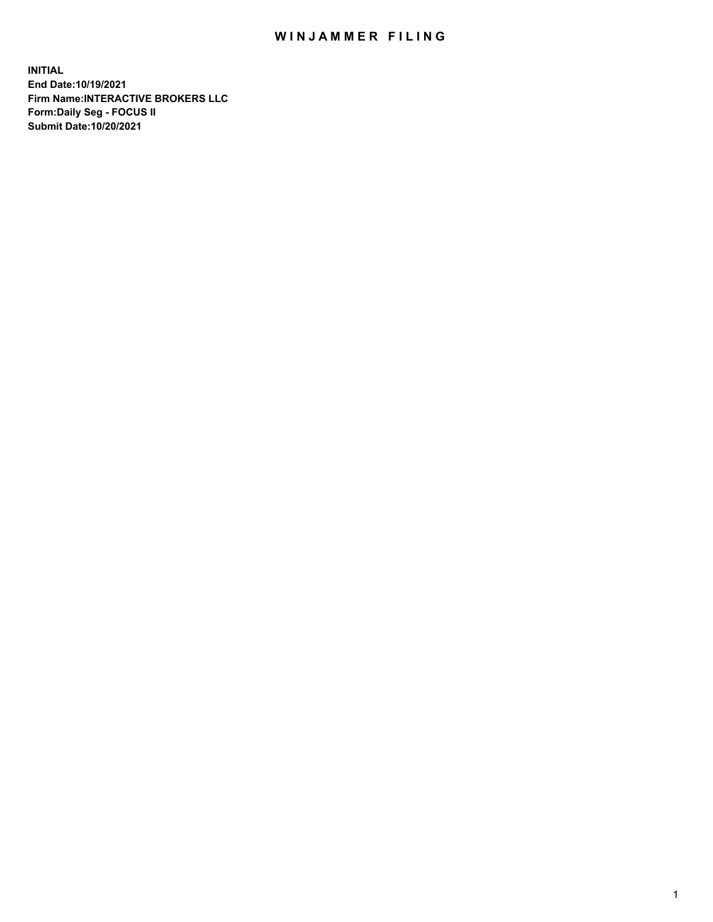## WIN JAMMER FILING

**INITIAL End Date:10/19/2021 Firm Name:INTERACTIVE BROKERS LLC Form:Daily Seg - FOCUS II Submit Date:10/20/2021**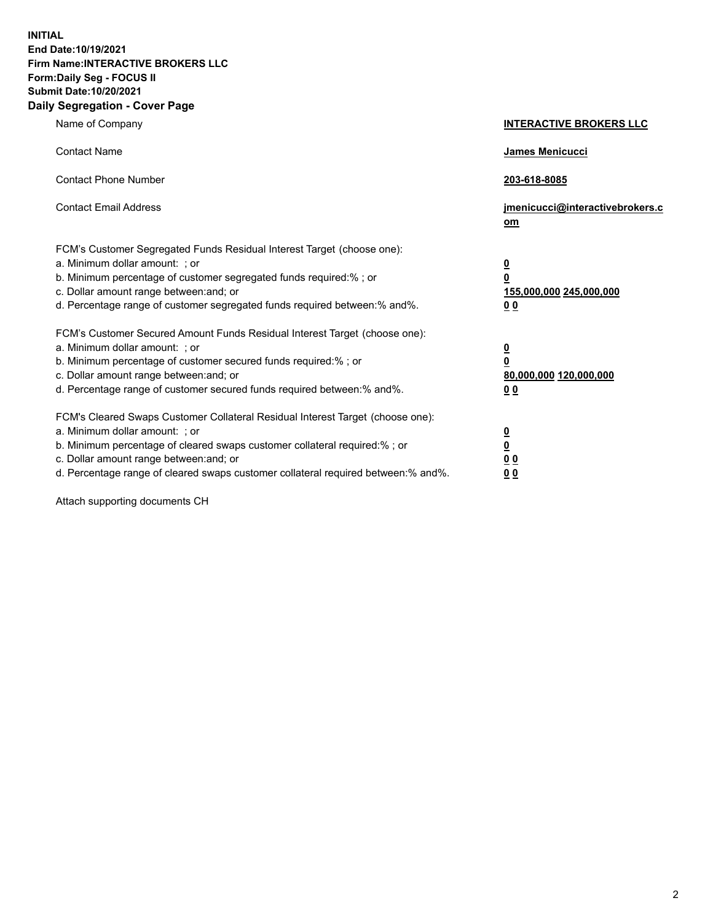**INITIAL End Date:10/19/2021 Firm Name:INTERACTIVE BROKERS LLC Form:Daily Seg - FOCUS II Submit Date:10/20/2021 Daily Segregation - Cover Page**

| Name of Company                                                                                                                                                                                                                                                                                                                | <b>INTERACTIVE BROKERS LLC</b>                                                                           |
|--------------------------------------------------------------------------------------------------------------------------------------------------------------------------------------------------------------------------------------------------------------------------------------------------------------------------------|----------------------------------------------------------------------------------------------------------|
| <b>Contact Name</b>                                                                                                                                                                                                                                                                                                            | James Menicucci                                                                                          |
| <b>Contact Phone Number</b>                                                                                                                                                                                                                                                                                                    | 203-618-8085                                                                                             |
| <b>Contact Email Address</b>                                                                                                                                                                                                                                                                                                   | jmenicucci@interactivebrokers.c<br>om                                                                    |
| FCM's Customer Segregated Funds Residual Interest Target (choose one):<br>a. Minimum dollar amount: ; or<br>b. Minimum percentage of customer segregated funds required:% ; or<br>c. Dollar amount range between: and; or<br>d. Percentage range of customer segregated funds required between:% and%.                         | $\overline{\mathbf{0}}$<br>$\overline{\mathbf{0}}$<br>155,000,000 245,000,000<br>0 <sub>0</sub>          |
| FCM's Customer Secured Amount Funds Residual Interest Target (choose one):<br>a. Minimum dollar amount: ; or<br>b. Minimum percentage of customer secured funds required:%; or<br>c. Dollar amount range between: and; or<br>d. Percentage range of customer secured funds required between:% and%.                            | $\overline{\mathbf{0}}$<br>$\overline{\mathbf{0}}$<br>80,000,000 120,000,000<br>00                       |
| FCM's Cleared Swaps Customer Collateral Residual Interest Target (choose one):<br>a. Minimum dollar amount: ; or<br>b. Minimum percentage of cleared swaps customer collateral required:% ; or<br>c. Dollar amount range between: and; or<br>d. Percentage range of cleared swaps customer collateral required between:% and%. | $\overline{\mathbf{0}}$<br>$\underline{\mathbf{0}}$<br>$\underline{0}$ $\underline{0}$<br>0 <sub>0</sub> |

Attach supporting documents CH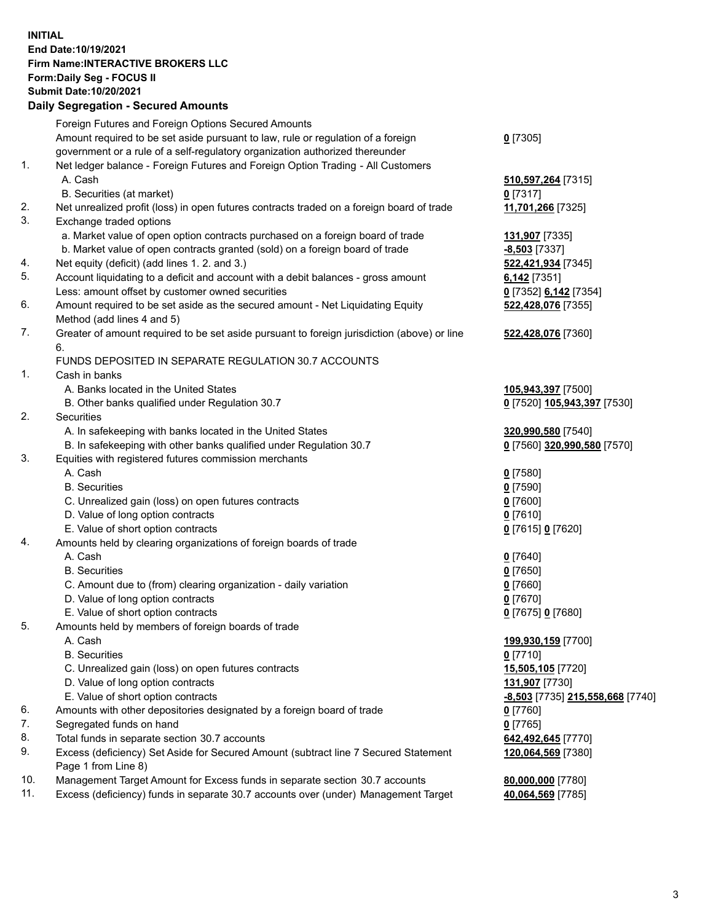## **INITIAL End Date:10/19/2021 Firm Name:INTERACTIVE BROKERS LLC Form:Daily Seg - FOCUS II Submit Date:10/20/2021**

|     | <b>Daily Segregation - Secured Amounts</b>                                                  |                                  |
|-----|---------------------------------------------------------------------------------------------|----------------------------------|
|     | Foreign Futures and Foreign Options Secured Amounts                                         |                                  |
|     | Amount required to be set aside pursuant to law, rule or regulation of a foreign            | $0$ [7305]                       |
|     | government or a rule of a self-regulatory organization authorized thereunder                |                                  |
| 1.  | Net ledger balance - Foreign Futures and Foreign Option Trading - All Customers             |                                  |
|     | A. Cash                                                                                     | 510,597,264 [7315]               |
|     | B. Securities (at market)                                                                   | $0$ [7317]                       |
| 2.  | Net unrealized profit (loss) in open futures contracts traded on a foreign board of trade   | 11,701,266 [7325]                |
| 3.  | Exchange traded options                                                                     |                                  |
|     | a. Market value of open option contracts purchased on a foreign board of trade              | 131,907 [7335]                   |
|     | b. Market value of open contracts granted (sold) on a foreign board of trade                | $-8,503$ [7337]                  |
| 4.  | Net equity (deficit) (add lines 1. 2. and 3.)                                               | 522,421,934 [7345]               |
| 5.  | Account liquidating to a deficit and account with a debit balances - gross amount           | $6,142$ [7351]                   |
|     | Less: amount offset by customer owned securities                                            | 0 [7352] 6,142 [7354]            |
| 6.  | Amount required to be set aside as the secured amount - Net Liquidating Equity              | 522,428,076 [7355]               |
|     | Method (add lines 4 and 5)                                                                  |                                  |
| 7.  | Greater of amount required to be set aside pursuant to foreign jurisdiction (above) or line | 522,428,076 [7360]               |
|     | 6.                                                                                          |                                  |
|     | FUNDS DEPOSITED IN SEPARATE REGULATION 30.7 ACCOUNTS                                        |                                  |
| 1.  | Cash in banks                                                                               |                                  |
|     | A. Banks located in the United States                                                       | 105,943,397 [7500]               |
|     | B. Other banks qualified under Regulation 30.7                                              | 0 [7520] 105,943,397 [7530]      |
| 2.  | Securities                                                                                  |                                  |
|     | A. In safekeeping with banks located in the United States                                   | 320,990,580 [7540]               |
|     | B. In safekeeping with other banks qualified under Regulation 30.7                          | 0 [7560] 320,990,580 [7570]      |
| 3.  | Equities with registered futures commission merchants                                       |                                  |
|     | A. Cash                                                                                     | $0$ [7580]                       |
|     | <b>B.</b> Securities                                                                        | $0$ [7590]                       |
|     | C. Unrealized gain (loss) on open futures contracts                                         | $0$ [7600]                       |
|     | D. Value of long option contracts                                                           | $0$ [7610]                       |
|     | E. Value of short option contracts                                                          | 0 [7615] 0 [7620]                |
| 4.  | Amounts held by clearing organizations of foreign boards of trade                           |                                  |
|     | A. Cash                                                                                     | $0$ [7640]                       |
|     | <b>B.</b> Securities                                                                        | <u>0</u> [7650]                  |
|     | C. Amount due to (from) clearing organization - daily variation                             | $0$ [7660]                       |
|     | D. Value of long option contracts                                                           | $0$ [7670]                       |
|     | E. Value of short option contracts                                                          | 0 [7675] 0 [7680]                |
| 5.  | Amounts held by members of foreign boards of trade                                          |                                  |
|     | A. Cash                                                                                     | 199,930,159 [7700]               |
|     | <b>B.</b> Securities                                                                        | $0$ [7710]                       |
|     | C. Unrealized gain (loss) on open futures contracts                                         | 15,505,105 [7720]                |
|     | D. Value of long option contracts                                                           | 131,907 [7730]                   |
|     | E. Value of short option contracts                                                          | -8,503 [7735] 215,558,668 [7740] |
| 6.  | Amounts with other depositories designated by a foreign board of trade                      | $0$ [7760]                       |
| 7.  | Segregated funds on hand                                                                    | $0$ [7765]                       |
| 8.  | Total funds in separate section 30.7 accounts                                               | 642,492,645 [7770]               |
| 9.  | Excess (deficiency) Set Aside for Secured Amount (subtract line 7 Secured Statement         | 120,064,569 [7380]               |
|     | Page 1 from Line 8)                                                                         |                                  |
| 10. | Management Target Amount for Excess funds in separate section 30.7 accounts                 | 80,000,000 [7780]                |
| 11. | Excess (deficiency) funds in separate 30.7 accounts over (under) Management Target          | 40,064,569 [7785]                |
|     |                                                                                             |                                  |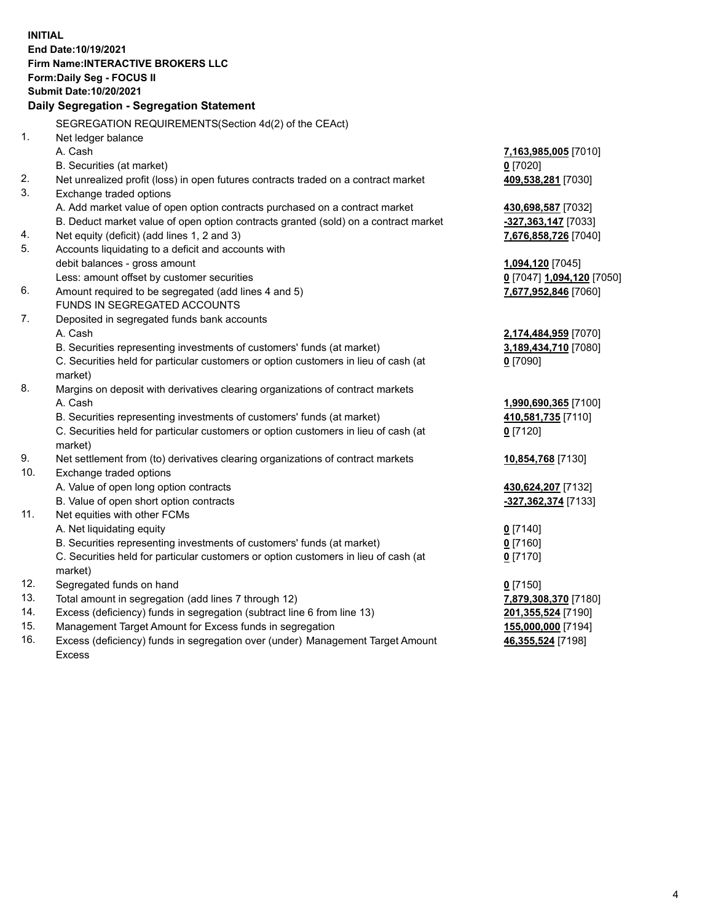**INITIAL End Date:10/19/2021 Firm Name:INTERACTIVE BROKERS LLC Form:Daily Seg - FOCUS II Submit Date:10/20/2021 Daily Segregation - Segregation Statement** SEGREGATION REQUIREMENTS(Section 4d(2) of the CEAct) 1. Net ledger balance A. Cash **7,163,985,005** [7010] B. Securities (at market) **0** [7020] 2. Net unrealized profit (loss) in open futures contracts traded on a contract market **409,538,281** [7030] 3. Exchange traded options A. Add market value of open option contracts purchased on a contract market **430,698,587** [7032] B. Deduct market value of open option contracts granted (sold) on a contract market **-327,363,147** [7033] 4. Net equity (deficit) (add lines 1, 2 and 3) **7,676,858,726** [7040] 5. Accounts liquidating to a deficit and accounts with debit balances - gross amount **1,094,120** [7045] Less: amount offset by customer securities **0** [7047] **1,094,120** [7050] 6. Amount required to be segregated (add lines 4 and 5) **7,677,952,846** [7060] FUNDS IN SEGREGATED ACCOUNTS 7. Deposited in segregated funds bank accounts A. Cash **2,174,484,959** [7070] B. Securities representing investments of customers' funds (at market) **3,189,434,710** [7080] C. Securities held for particular customers or option customers in lieu of cash (at market) **0** [7090] 8. Margins on deposit with derivatives clearing organizations of contract markets A. Cash **1,990,690,365** [7100] B. Securities representing investments of customers' funds (at market) **410,581,735** [7110] C. Securities held for particular customers or option customers in lieu of cash (at market) **0** [7120] 9. Net settlement from (to) derivatives clearing organizations of contract markets **10,854,768** [7130] 10. Exchange traded options A. Value of open long option contracts **430,624,207** [7132] B. Value of open short option contracts **-327,362,374** [7133] 11. Net equities with other FCMs A. Net liquidating equity **0** [7140] B. Securities representing investments of customers' funds (at market) **0** [7160] C. Securities held for particular customers or option customers in lieu of cash (at market) **0** [7170] 12. Segregated funds on hand **0** [7150] 13. Total amount in segregation (add lines 7 through 12) **7,879,308,370** [7180] 14. Excess (deficiency) funds in segregation (subtract line 6 from line 13) **201,355,524** [7190] 15. Management Target Amount for Excess funds in segregation **155,000,000** [7194] 16. Excess (deficiency) funds in segregation over (under) Management Target Amount **46,355,524** [7198]

Excess